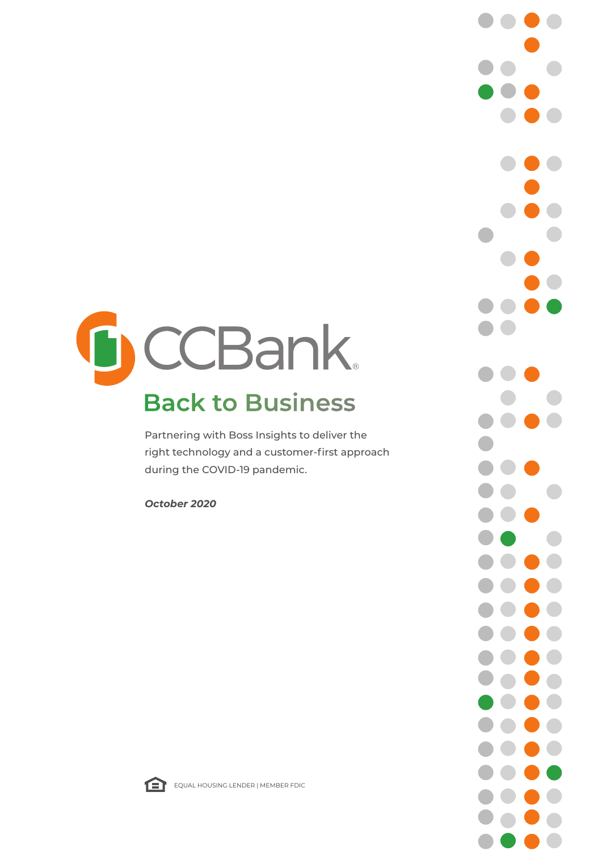# CCBank.  $\sqrt{}$ **Back to Business**

Partnering with Boss Insights to deliver the right technology and a customer-first approach during the COVID-19 pandemic.

*October 2020* 





EQUAL HOUSING LENDER | MEMBER FDIC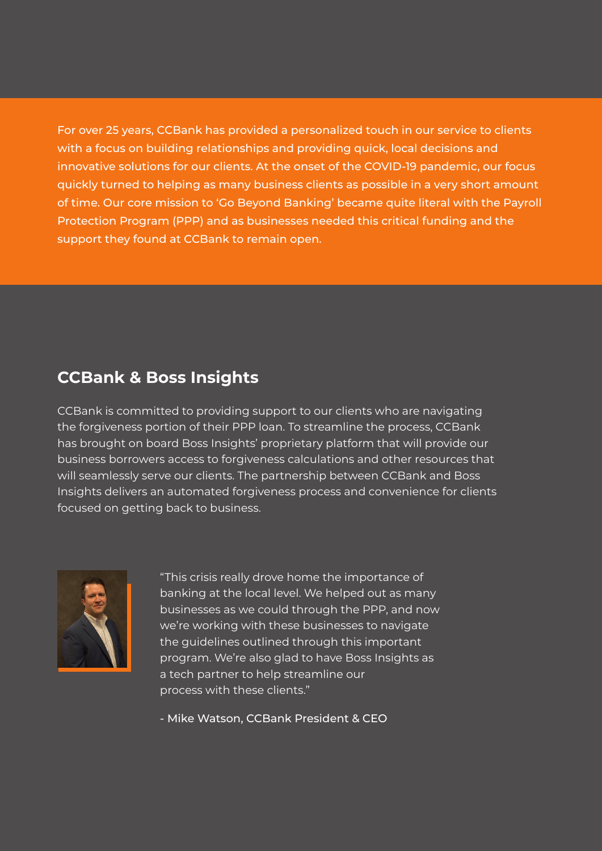For over 25 years, CCBank has provided a personalized touch in our service to clients with a focus on building relationships and providing quick, local decisions and innovative solutions for our clients. At the onset of the COVID-19 pandemic, our focus quickly turned to helping as many business clients as possible in a very short amount of time. Our core mission to 'Go Beyond Banking' became quite literal with the Payroll Protection Program (PPP) and as businesses needed this critical funding and the support they found at CCBank to remain open.

#### **CCBank & Boss Insights**

CCBank is committed to providing support to our clients who are navigating the forgiveness portion of their PPP loan. To streamline the process, CCBank has brought on board Boss Insights' proprietary platform that will provide our business borrowers access to forgiveness calculations and other resources that will seamlessly serve our clients. The partnership between CCBank and Boss Insights delivers an automated forgiveness process and convenience for clients focused on getting back to business.



"This crisis really drove home the importance of banking at the local level. We helped out as many businesses as we could through the PPP, and now we're working with these businesses to navigate the guidelines outlined through this important program. We're also glad to have Boss Insights as a tech partner to help streamline our process with these clients."

- Mike Watson, CCBank President & CEO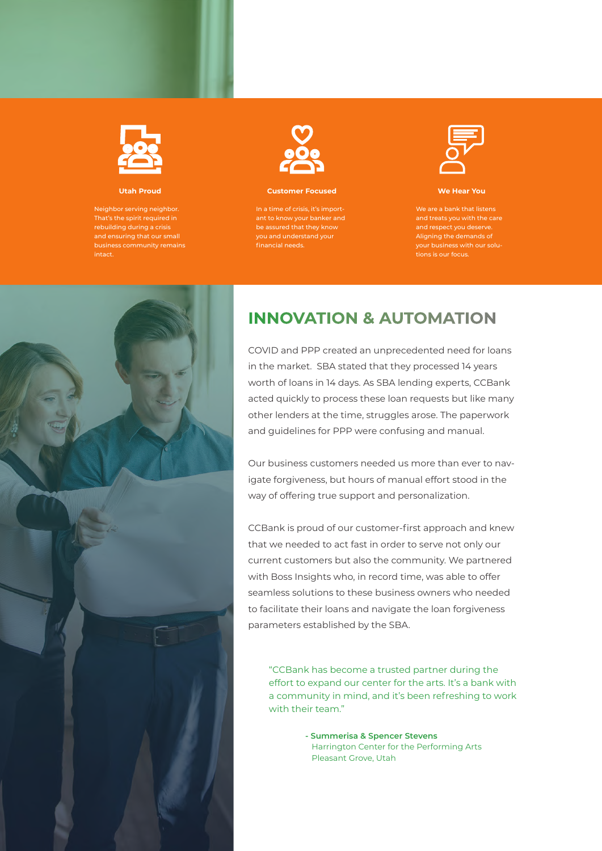

**Utah Proud** 

Neighbor serving neighbor. intact.



#### **Customer Focused**

you and understand your financial needs.



**We Hear You** 

tions is our focus.



#### **INNOVATION & AUTOMATION**

COVID and PPP created an unprecedented need for loans in the market. SBA stated that they processed 14 years worth of loans in 14 days. As SBA lending experts, CCBank acted quickly to process these loan requests but like many other lenders at the time, struggles arose. The paperwork and guidelines for PPP were confusing and manual.

Our business customers needed us more than ever to navigate forgiveness, but hours of manual effort stood in the way of offering true support and personalization.

CCBank is proud of our customer-first approach and knew that we needed to act fast in order to serve not only our current customers but also the community. We partnered with Boss Insights who, in record time, was able to offer seamless solutions to these business owners who needed to facilitate their loans and navigate the loan forgiveness parameters established by the SBA.

"CCBank has become a trusted partner during the effort to expand our center for the arts. It's a bank with a community in mind, and it's been refreshing to work with their team."

> **- Summerisa & Spencer Stevens** Harrington Center for the Performing Arts Pleasant Grove, Utah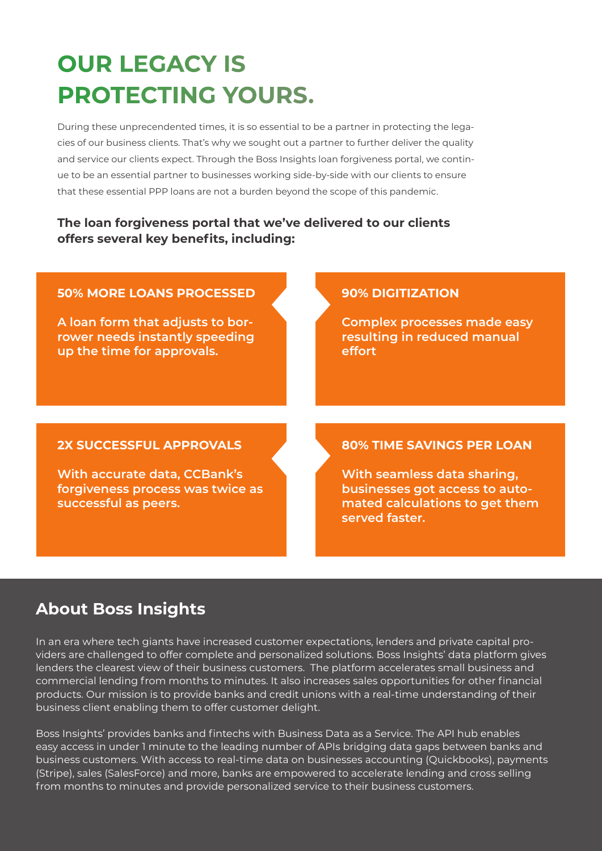## **OUR LEGACY IS PROTECTING YOURS.**

During these unprecendented times, it is so essential to be a partner in protecting the legacies of our business clients. That's why we sought out a partner to further deliver the quality and service our clients expect. Through the Boss Insights loan forgiveness portal, we continue to be an essential partner to businesses working side-by-side with our clients to ensure that these essential PPP loans are not a burden beyond the scope of this pandemic.

#### **The loan forgiveness portal that we've delivered to our clients offers several key benefits, including:**

#### **50% MORE LOANS PROCESSED**

**A loan form that adjusts to borrower needs instantly speeding up the time for approvals.**

#### **90% DIGITIZATION**

**Complex processes made easy resulting in reduced manual effort**

#### **2X SUCCESSFUL APPROVALS**

**With accurate data, CCBank's forgiveness process was twice as successful as peers.**

#### **80% TIME SAVINGS PER LOAN**

**With seamless data sharing, businesses got access to automated calculations to get them served faster.**

### **About Boss Insights**

In an era where tech giants have increased customer expectations, lenders and private capital providers are challenged to offer complete and personalized solutions. Boss Insights' data platform gives lenders the clearest view of their business customers. The platform accelerates small business and commercial lending from months to minutes. It also increases sales opportunities for other financial products. Our mission is to provide banks and credit unions with a real-time understanding of their business client enabling them to offer customer delight.

Boss Insights' provides banks and fintechs with Business Data as a Service. The API hub enables easy access in under 1 minute to the leading number of APIs bridging data gaps between banks and business customers. With access to real-time data on businesses accounting (Quickbooks), payments (Stripe), sales (SalesForce) and more, banks are empowered to accelerate lending and cross selling from months to minutes and provide personalized service to their business customers.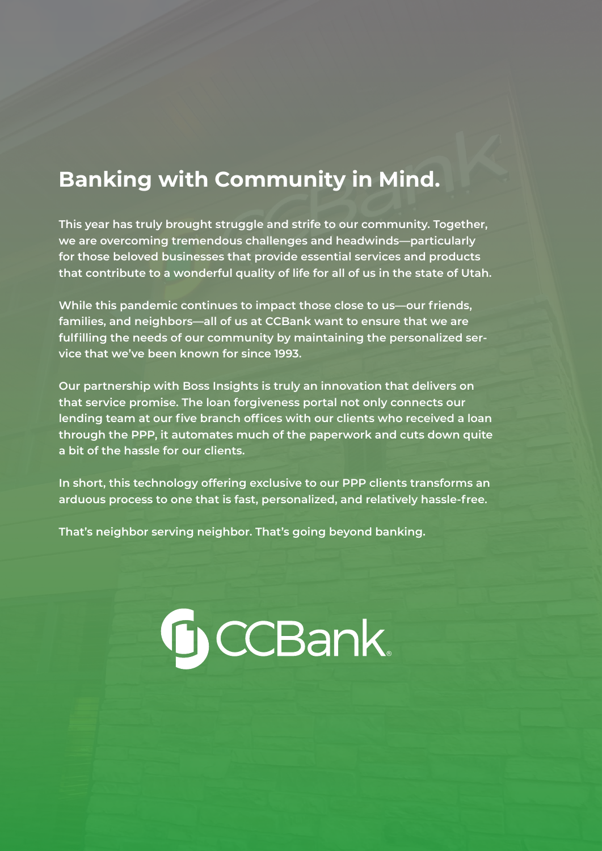### **Banking with Community in Mind.**

**This year has truly brought struggle and strife to our community. Together, we are overcoming tremendous challenges and headwinds—particularly for those beloved businesses that provide essential services and products that contribute to a wonderful quality of life for all of us in the state of Utah.** 

**While this pandemic continues to impact those close to us—our friends, families, and neighbors—all of us at CCBank want to ensure that we are fulfilling the needs of our community by maintaining the personalized service that we've been known for since 1993.** 

**Our partnership with Boss Insights is truly an innovation that delivers on that service promise. The loan forgiveness portal not only connects our lending team at our five branch offices with our clients who received a loan through the PPP, it automates much of the paperwork and cuts down quite a bit of the hassle for our clients.** 

**In short, this technology offering exclusive to our PPP clients transforms an arduous process to one that is fast, personalized, and relatively hassle-free.** 

GCCBank

**That's neighbor serving neighbor. That's going beyond banking.**